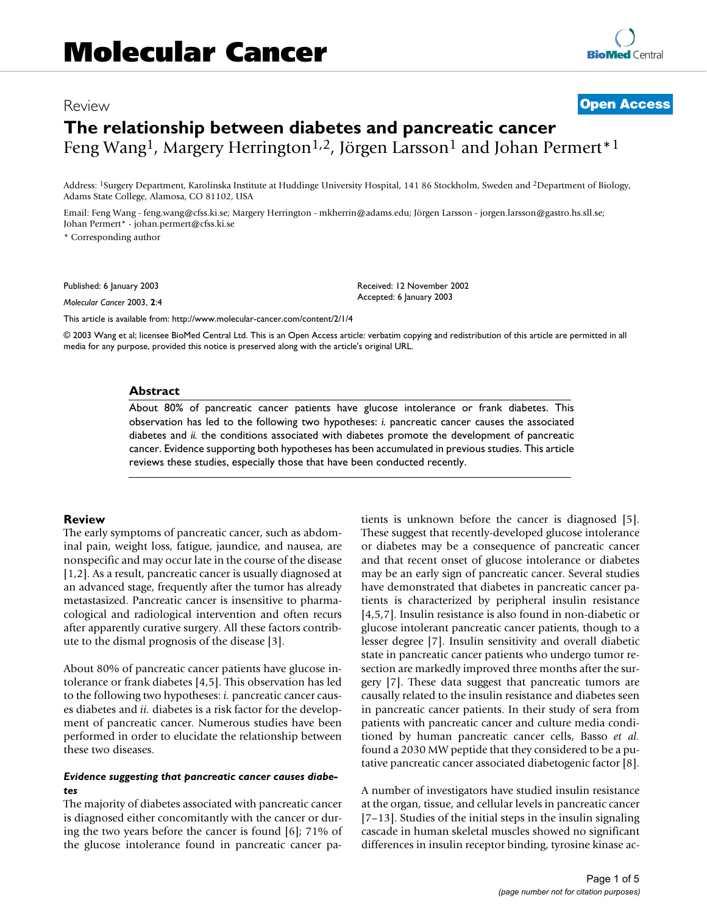# Review **[Open Access](http://www.biomedcentral.com/info/about/charter/) The relationship between diabetes and pancreatic cancer** Feng Wang<sup>1</sup>, Margery Herrington<sup>1,2</sup>, Jörgen Larsson<sup>1</sup> and Johan Permert<sup>\*1</sup>

Address: 1Surgery Department, Karolinska Institute at Huddinge University Hospital, 141 86 Stockholm, Sweden and 2Department of Biology, Adams State College, Alamosa, CO 81102, USA

Email: Feng Wang - feng.wang@cfss.ki.se; Margery Herrington - mkherrin@adams.edu; Jörgen Larsson - jorgen.larsson@gastro.hs.sll.se; Johan Permert\* - johan.permert@cfss.ki.se

\* Corresponding author

Published: 6 January 2003

*Molecular Cancer* 2003, **2**:4

[This article is available from: http://www.molecular-cancer.com/content/2/1/4](http://www.molecular-cancer.com/content/2/1/4)

© 2003 Wang et al; licensee BioMed Central Ltd. This is an Open Access article: verbatim copying and redistribution of this article are permitted in all media for any purpose, provided this notice is preserved along with the article's original URL.

Received: 12 November 2002 Accepted: 6 January 2003

#### **Abstract**

About 80% of pancreatic cancer patients have glucose intolerance or frank diabetes. This observation has led to the following two hypotheses: *i.* pancreatic cancer causes the associated diabetes and *ii.* the conditions associated with diabetes promote the development of pancreatic cancer. Evidence supporting both hypotheses has been accumulated in previous studies. This article reviews these studies, especially those that have been conducted recently.

## **Review**

The early symptoms of pancreatic cancer, such as abdominal pain, weight loss, fatigue, jaundice, and nausea, are nonspecific and may occur late in the course of the disease [1,2]. As a result, pancreatic cancer is usually diagnosed at an advanced stage, frequently after the tumor has already metastasized. Pancreatic cancer is insensitive to pharmacological and radiological intervention and often recurs after apparently curative surgery. All these factors contribute to the dismal prognosis of the disease [3].

About 80% of pancreatic cancer patients have glucose intolerance or frank diabetes [4,5]. This observation has led to the following two hypotheses: *i.* pancreatic cancer causes diabetes and *ii.* diabetes is a risk factor for the development of pancreatic cancer. Numerous studies have been performed in order to elucidate the relationship between these two diseases.

## *Evidence suggesting that pancreatic cancer causes diabetes*

The majority of diabetes associated with pancreatic cancer is diagnosed either concomitantly with the cancer or during the two years before the cancer is found [6]; 71% of the glucose intolerance found in pancreatic cancer patients is unknown before the cancer is diagnosed [5]. These suggest that recently-developed glucose intolerance or diabetes may be a consequence of pancreatic cancer and that recent onset of glucose intolerance or diabetes may be an early sign of pancreatic cancer. Several studies have demonstrated that diabetes in pancreatic cancer patients is characterized by peripheral insulin resistance [4,5,7]. Insulin resistance is also found in non-diabetic or glucose intolerant pancreatic cancer patients, though to a lesser degree [7]. Insulin sensitivity and overall diabetic state in pancreatic cancer patients who undergo tumor resection are markedly improved three months after the surgery [7]. These data suggest that pancreatic tumors are causally related to the insulin resistance and diabetes seen in pancreatic cancer patients. In their study of sera from patients with pancreatic cancer and culture media conditioned by human pancreatic cancer cells, Basso *et al.* found a 2030 MW peptide that they considered to be a putative pancreatic cancer associated diabetogenic factor [8].

A number of investigators have studied insulin resistance at the organ, tissue, and cellular levels in pancreatic cancer [7–13]. Studies of the initial steps in the insulin signaling cascade in human skeletal muscles showed no significant differences in insulin receptor binding, tyrosine kinase ac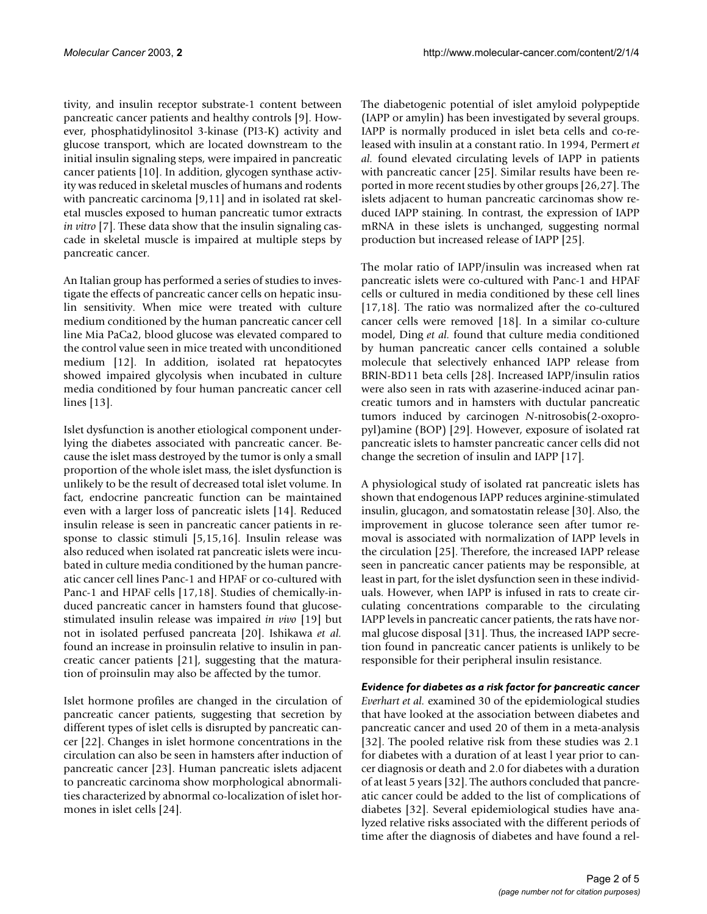tivity, and insulin receptor substrate-1 content between pancreatic cancer patients and healthy controls [9]. However, phosphatidylinositol 3-kinase (PI3-K) activity and glucose transport, which are located downstream to the initial insulin signaling steps, were impaired in pancreatic cancer patients [10]. In addition, glycogen synthase activity was reduced in skeletal muscles of humans and rodents with pancreatic carcinoma [9,11] and in isolated rat skeletal muscles exposed to human pancreatic tumor extracts *in vitro* [7]. These data show that the insulin signaling cascade in skeletal muscle is impaired at multiple steps by pancreatic cancer.

An Italian group has performed a series of studies to investigate the effects of pancreatic cancer cells on hepatic insulin sensitivity. When mice were treated with culture medium conditioned by the human pancreatic cancer cell line Mia PaCa2, blood glucose was elevated compared to the control value seen in mice treated with unconditioned medium [12]. In addition, isolated rat hepatocytes showed impaired glycolysis when incubated in culture media conditioned by four human pancreatic cancer cell lines [13].

Islet dysfunction is another etiological component underlying the diabetes associated with pancreatic cancer. Because the islet mass destroyed by the tumor is only a small proportion of the whole islet mass, the islet dysfunction is unlikely to be the result of decreased total islet volume. In fact, endocrine pancreatic function can be maintained even with a larger loss of pancreatic islets [14]. Reduced insulin release is seen in pancreatic cancer patients in response to classic stimuli [5,15,16]. Insulin release was also reduced when isolated rat pancreatic islets were incubated in culture media conditioned by the human pancreatic cancer cell lines Panc-1 and HPAF or co-cultured with Panc-1 and HPAF cells [17,18]. Studies of chemically-induced pancreatic cancer in hamsters found that glucosestimulated insulin release was impaired *in vivo* [19] but not in isolated perfused pancreata [20]. Ishikawa *et al.* found an increase in proinsulin relative to insulin in pancreatic cancer patients [21], suggesting that the maturation of proinsulin may also be affected by the tumor.

Islet hormone profiles are changed in the circulation of pancreatic cancer patients, suggesting that secretion by different types of islet cells is disrupted by pancreatic cancer [22]. Changes in islet hormone concentrations in the circulation can also be seen in hamsters after induction of pancreatic cancer [23]. Human pancreatic islets adjacent to pancreatic carcinoma show morphological abnormalities characterized by abnormal co-localization of islet hormones in islet cells [24].

The diabetogenic potential of islet amyloid polypeptide (IAPP or amylin) has been investigated by several groups. IAPP is normally produced in islet beta cells and co-released with insulin at a constant ratio. In 1994, Permert *et al.* found elevated circulating levels of IAPP in patients with pancreatic cancer [25]. Similar results have been reported in more recent studies by other groups [26,27]. The islets adjacent to human pancreatic carcinomas show reduced IAPP staining. In contrast, the expression of IAPP mRNA in these islets is unchanged, suggesting normal production but increased release of IAPP [25].

The molar ratio of IAPP/insulin was increased when rat pancreatic islets were co-cultured with Panc-1 and HPAF cells or cultured in media conditioned by these cell lines [17,18]. The ratio was normalized after the co-cultured cancer cells were removed [18]. In a similar co-culture model, Ding *et al.* found that culture media conditioned by human pancreatic cancer cells contained a soluble molecule that selectively enhanced IAPP release from BRIN-BD11 beta cells [28]. Increased IAPP/insulin ratios were also seen in rats with azaserine-induced acinar pancreatic tumors and in hamsters with ductular pancreatic tumors induced by carcinogen *N*-nitrosobis(2-oxopropyl)amine (BOP) [29]. However, exposure of isolated rat pancreatic islets to hamster pancreatic cancer cells did not change the secretion of insulin and IAPP [17].

A physiological study of isolated rat pancreatic islets has shown that endogenous IAPP reduces arginine-stimulated insulin, glucagon, and somatostatin release [30]. Also, the improvement in glucose tolerance seen after tumor removal is associated with normalization of IAPP levels in the circulation [25]. Therefore, the increased IAPP release seen in pancreatic cancer patients may be responsible, at least in part, for the islet dysfunction seen in these individuals. However, when IAPP is infused in rats to create circulating concentrations comparable to the circulating IAPP levels in pancreatic cancer patients, the rats have normal glucose disposal [31]. Thus, the increased IAPP secretion found in pancreatic cancer patients is unlikely to be responsible for their peripheral insulin resistance.

*Evidence for diabetes as a risk factor for pancreatic cancer Everhart et al.* examined 30 of the epidemiological studies that have looked at the association between diabetes and pancreatic cancer and used 20 of them in a meta-analysis [32]. The pooled relative risk from these studies was 2.1 for diabetes with a duration of at least l year prior to cancer diagnosis or death and 2.0 for diabetes with a duration of at least 5 years [32]. The authors concluded that pancreatic cancer could be added to the list of complications of diabetes [32]. Several epidemiological studies have analyzed relative risks associated with the different periods of time after the diagnosis of diabetes and have found a rel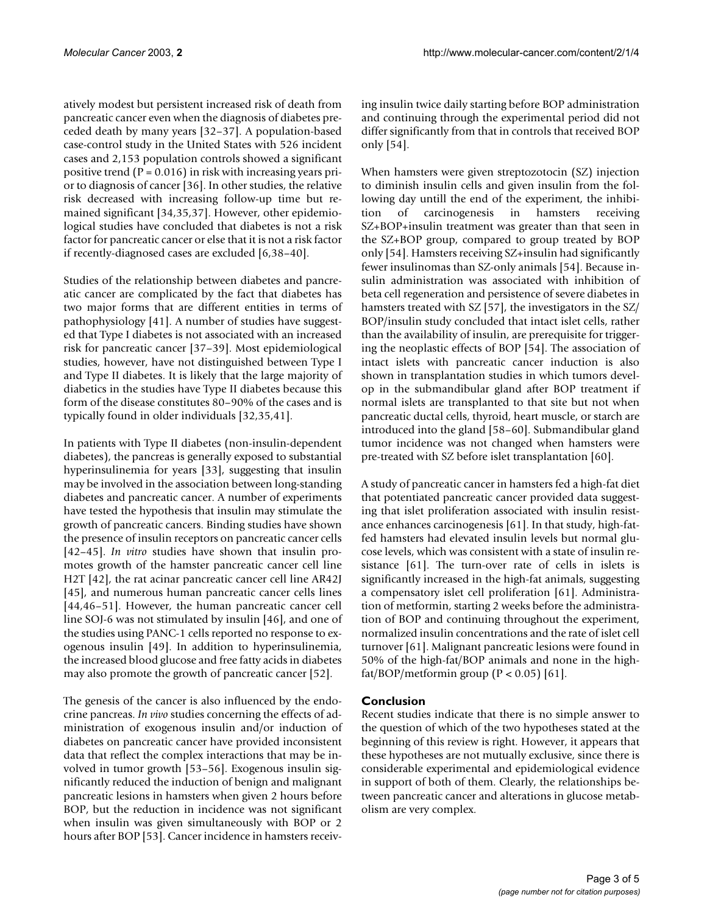atively modest but persistent increased risk of death from pancreatic cancer even when the diagnosis of diabetes preceded death by many years [32–37]. A population-based case-control study in the United States with 526 incident cases and 2,153 population controls showed a significant positive trend  $(P = 0.016)$  in risk with increasing years prior to diagnosis of cancer [36]. In other studies, the relative risk decreased with increasing follow-up time but remained significant [34,35,37]. However, other epidemiological studies have concluded that diabetes is not a risk factor for pancreatic cancer or else that it is not a risk factor if recently-diagnosed cases are excluded [6,38–40].

Studies of the relationship between diabetes and pancreatic cancer are complicated by the fact that diabetes has two major forms that are different entities in terms of pathophysiology [41]. A number of studies have suggested that Type I diabetes is not associated with an increased risk for pancreatic cancer [37–39]. Most epidemiological studies, however, have not distinguished between Type I and Type II diabetes. It is likely that the large majority of diabetics in the studies have Type II diabetes because this form of the disease constitutes 80–90% of the cases and is typically found in older individuals [32,35,41].

In patients with Type II diabetes (non-insulin-dependent diabetes), the pancreas is generally exposed to substantial hyperinsulinemia for years [33], suggesting that insulin may be involved in the association between long-standing diabetes and pancreatic cancer. A number of experiments have tested the hypothesis that insulin may stimulate the growth of pancreatic cancers. Binding studies have shown the presence of insulin receptors on pancreatic cancer cells [42–45]. *In vitro* studies have shown that insulin promotes growth of the hamster pancreatic cancer cell line H2T [42], the rat acinar pancreatic cancer cell line AR42J [45], and numerous human pancreatic cancer cells lines [44,46–51]. However, the human pancreatic cancer cell line SOJ-6 was not stimulated by insulin [46], and one of the studies using PANC-1 cells reported no response to exogenous insulin [49]. In addition to hyperinsulinemia, the increased blood glucose and free fatty acids in diabetes may also promote the growth of pancreatic cancer [52].

The genesis of the cancer is also influenced by the endocrine pancreas. *In vivo* studies concerning the effects of administration of exogenous insulin and/or induction of diabetes on pancreatic cancer have provided inconsistent data that reflect the complex interactions that may be involved in tumor growth [53–56]. Exogenous insulin significantly reduced the induction of benign and malignant pancreatic lesions in hamsters when given 2 hours before BOP, but the reduction in incidence was not significant when insulin was given simultaneously with BOP or 2 hours after BOP [53]. Cancer incidence in hamsters receiving insulin twice daily starting before BOP administration and continuing through the experimental period did not differ significantly from that in controls that received BOP only [54].

When hamsters were given streptozotocin (SZ) injection to diminish insulin cells and given insulin from the following day untill the end of the experiment, the inhibition of carcinogenesis in hamsters receiving SZ+BOP+insulin treatment was greater than that seen in the SZ+BOP group, compared to group treated by BOP only [54]. Hamsters receiving SZ+insulin had significantly fewer insulinomas than SZ-only animals [54]. Because insulin administration was associated with inhibition of beta cell regeneration and persistence of severe diabetes in hamsters treated with SZ [57], the investigators in the SZ/ BOP/insulin study concluded that intact islet cells, rather than the availability of insulin, are prerequisite for triggering the neoplastic effects of BOP [54]. The association of intact islets with pancreatic cancer induction is also shown in transplantation studies in which tumors develop in the submandibular gland after BOP treatment if normal islets are transplanted to that site but not when pancreatic ductal cells, thyroid, heart muscle, or starch are introduced into the gland [58–60]. Submandibular gland tumor incidence was not changed when hamsters were pre-treated with SZ before islet transplantation [60].

A study of pancreatic cancer in hamsters fed a high-fat diet that potentiated pancreatic cancer provided data suggesting that islet proliferation associated with insulin resistance enhances carcinogenesis [61]. In that study, high-fatfed hamsters had elevated insulin levels but normal glucose levels, which was consistent with a state of insulin resistance [61]. The turn-over rate of cells in islets is significantly increased in the high-fat animals, suggesting a compensatory islet cell proliferation [61]. Administration of metformin, starting 2 weeks before the administration of BOP and continuing throughout the experiment, normalized insulin concentrations and the rate of islet cell turnover [61]. Malignant pancreatic lesions were found in 50% of the high-fat/BOP animals and none in the highfat/BOP/metformin group  $(P < 0.05)$  [61].

## **Conclusion**

Recent studies indicate that there is no simple answer to the question of which of the two hypotheses stated at the beginning of this review is right. However, it appears that these hypotheses are not mutually exclusive, since there is considerable experimental and epidemiological evidence in support of both of them. Clearly, the relationships between pancreatic cancer and alterations in glucose metabolism are very complex.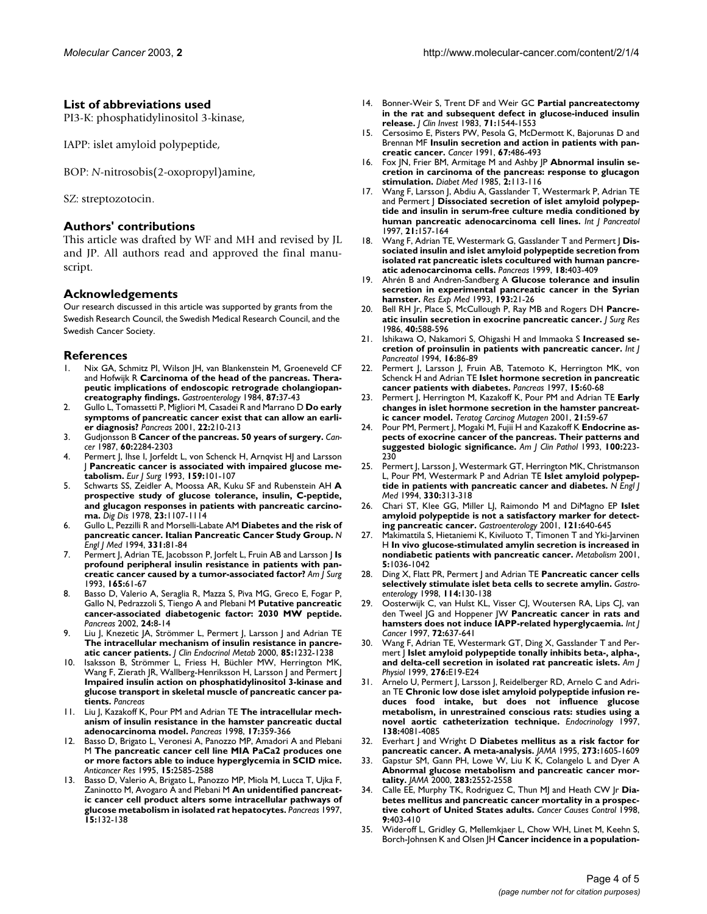## **List of abbreviations used**

PI3-K: phosphatidylinositol 3-kinase,

IAPP: islet amyloid polypeptide,

BOP: *N*-nitrosobis(2-oxopropyl)amine,

SZ: streptozotocin.

## **Authors' contributions**

This article was drafted by WF and MH and revised by JL and JP. All authors read and approved the final manuscript.

## **Acknowledgements**

Our research discussed in this article was supported by grants from the Swedish Research Council, the Swedish Medical Research Council, and the Swedish Cancer Society.

## **References**

- Nix GA, Schmitz PI, Wilson JH, van Blankenstein M, Groeneveld CF and Hofwijk R **[Carcinoma of the head of the pancreas. Thera](http://www.ncbi.nlm.nih.gov/entrez/query.fcgi?cmd=Retrieve&db=PubMed&dopt=Abstract&list_uids=6202585)[peutic implications of endoscopic retrograde cholangiopan](http://www.ncbi.nlm.nih.gov/entrez/query.fcgi?cmd=Retrieve&db=PubMed&dopt=Abstract&list_uids=6202585)[creatography findings.](http://www.ncbi.nlm.nih.gov/entrez/query.fcgi?cmd=Retrieve&db=PubMed&dopt=Abstract&list_uids=6202585)** *Gastroenterology* 1984, **87:**37-43
- 2. Gullo L, Tomassetti P, Migliori M, Casadei R and Marrano D **[Do early](http://www.ncbi.nlm.nih.gov/entrez/query.fcgi?cmd=Retrieve&db=PubMed&dopt=Abstract&list_uids=10.1097/00006676-200103000-00017) [symptoms of pancreatic cancer exist that can allow an earli](http://www.ncbi.nlm.nih.gov/entrez/query.fcgi?cmd=Retrieve&db=PubMed&dopt=Abstract&list_uids=10.1097/00006676-200103000-00017)[er diagnosis?](http://www.ncbi.nlm.nih.gov/entrez/query.fcgi?cmd=Retrieve&db=PubMed&dopt=Abstract&list_uids=10.1097/00006676-200103000-00017)** *Pancreas* 2001, **22:**210-213
- 3. Gudjonsson B **[Cancer of the pancreas. 50 years of surgery.](http://www.ncbi.nlm.nih.gov/entrez/query.fcgi?cmd=Retrieve&db=PubMed&dopt=Abstract&list_uids=3326653)** *Cancer* 1987, **60:**2284-2303
- Permert J, Ihse I, Jorfeldt L, von Schenck H, Arnqvist HJ and Larsson J **[Pancreatic cancer is associated with impaired glucose me](http://www.ncbi.nlm.nih.gov/entrez/query.fcgi?cmd=Retrieve&db=PubMed&dopt=Abstract&list_uids=8098623)[tabolism.](http://www.ncbi.nlm.nih.gov/entrez/query.fcgi?cmd=Retrieve&db=PubMed&dopt=Abstract&list_uids=8098623)** *Eur J Surg* 1993, **159:**101-107
- 5. Schwarts SS, Zeidler A, Moossa AR, Kuku SF and Rubenstein AH **A prospective study of glucose tolerance, insulin, C-peptide, and glucagon responses in patients with pancreatic carcinoma.** *Dig Dis* 1978, **23:**1107-1114
- 6. Gullo L, Pezzilli R and Morselli-Labate AM **[Diabetes and the risk of](http://www.ncbi.nlm.nih.gov/entrez/query.fcgi?cmd=Retrieve&db=PubMed&dopt=Abstract&list_uids=10.1056/NEJM199407143310203) [pancreatic cancer. Italian Pancreatic Cancer Study Group.](http://www.ncbi.nlm.nih.gov/entrez/query.fcgi?cmd=Retrieve&db=PubMed&dopt=Abstract&list_uids=10.1056/NEJM199407143310203)** *N Engl J Med* 1994, **331:**81-84
- 7. Permert J, Adrian TE, Jacobsson P, Jorfelt L, Fruin AB and Larsson J **[Is](http://www.ncbi.nlm.nih.gov/entrez/query.fcgi?cmd=Retrieve&db=PubMed&dopt=Abstract&list_uids=8380314) [profound peripheral insulin resistance in patients with pan](http://www.ncbi.nlm.nih.gov/entrez/query.fcgi?cmd=Retrieve&db=PubMed&dopt=Abstract&list_uids=8380314)[creatic cancer caused by a tumor-associated factor?](http://www.ncbi.nlm.nih.gov/entrez/query.fcgi?cmd=Retrieve&db=PubMed&dopt=Abstract&list_uids=8380314)** *Am J Surg* 1993, **165:**61-67
- 8. Basso D, Valerio A, Seraglia R, Mazza S, Piva MG, Greco E, Fogar P, Gallo N, Pedrazzoli S, Tiengo A and Plebani M **[Putative pancreatic](http://www.ncbi.nlm.nih.gov/entrez/query.fcgi?cmd=Retrieve&db=PubMed&dopt=Abstract&list_uids=10.1097/00006676-200201000-00002) [cancer-associated diabetogenic factor: 2030 MW peptide.](http://www.ncbi.nlm.nih.gov/entrez/query.fcgi?cmd=Retrieve&db=PubMed&dopt=Abstract&list_uids=10.1097/00006676-200201000-00002)** *Pancreas* 2002, **24:**8-14
- Liu J, Knezetic JA, Strömmer L, Permert J, Larsson J and Adrian TE **[The intracellular mechanism of insulin resistance in pancre](http://www.ncbi.nlm.nih.gov/entrez/query.fcgi?cmd=Retrieve&db=PubMed&dopt=Abstract&list_uids=10720068)[atic cancer patients.](http://www.ncbi.nlm.nih.gov/entrez/query.fcgi?cmd=Retrieve&db=PubMed&dopt=Abstract&list_uids=10720068)** *J Clin Endocrinol Metab* 2000, **85:**1232-1238
- 10. Isaksson B, Strömmer L, Friess H, Büchler MW, Herrington MK, Wang F, Zierath JR, Wallberg-Henriksson H, Larsson J and Permert J **Impaired insulin action on phosphatidylinositol 3-kinase and glucose transport in skeletal muscle of pancreatic cancer patients.** *Pancreas*
- 11. Liu J, Kazakoff K, Pour PM and Adrian TE **[The intracellular mech](http://www.ncbi.nlm.nih.gov/entrez/query.fcgi?cmd=Retrieve&db=PubMed&dopt=Abstract&list_uids=9821177)[anism of insulin resistance in the hamster pancreatic ductal](http://www.ncbi.nlm.nih.gov/entrez/query.fcgi?cmd=Retrieve&db=PubMed&dopt=Abstract&list_uids=9821177) [adenocarcinoma model.](http://www.ncbi.nlm.nih.gov/entrez/query.fcgi?cmd=Retrieve&db=PubMed&dopt=Abstract&list_uids=9821177)** *Pancreas* 1998, **17:**359-366
- 12. Basso D, Brigato L, Veronesi A, Panozzo MP, Amadori A and Plebani M **[The pancreatic cancer cell line MIA PaCa2 produces one](http://www.ncbi.nlm.nih.gov/entrez/query.fcgi?cmd=Retrieve&db=PubMed&dopt=Abstract&list_uids=8669828) [or more factors able to induce hyperglycemia in SCID mice.](http://www.ncbi.nlm.nih.gov/entrez/query.fcgi?cmd=Retrieve&db=PubMed&dopt=Abstract&list_uids=8669828)** *Anticancer Res* 1995, **15:**2585-2588
- 13. Basso D, Valerio A, Brigato L, Panozzo MP, Miola M, Lucca T, Ujka F, Zaninotto M, Avogaro A and Plebani M **[An unidentified pancreat](http://www.ncbi.nlm.nih.gov/entrez/query.fcgi?cmd=Retrieve&db=PubMed&dopt=Abstract&list_uids=9260197)[ic cancer cell product alters some intracellular pathways of](http://www.ncbi.nlm.nih.gov/entrez/query.fcgi?cmd=Retrieve&db=PubMed&dopt=Abstract&list_uids=9260197) [glucose metabolism in isolated rat hepatocytes.](http://www.ncbi.nlm.nih.gov/entrez/query.fcgi?cmd=Retrieve&db=PubMed&dopt=Abstract&list_uids=9260197)** *Pancreas* 1997, **15:**132-138
- 14. Bonner-Weir S, Trent DF and Weir GC **[Partial pancreatectomy](http://www.ncbi.nlm.nih.gov/entrez/query.fcgi?cmd=Retrieve&db=PubMed&dopt=Abstract&list_uids=6134752) [in the rat and subsequent defect in glucose-induced insulin](http://www.ncbi.nlm.nih.gov/entrez/query.fcgi?cmd=Retrieve&db=PubMed&dopt=Abstract&list_uids=6134752) [release.](http://www.ncbi.nlm.nih.gov/entrez/query.fcgi?cmd=Retrieve&db=PubMed&dopt=Abstract&list_uids=6134752)** *J Clin Invest* 1983, **71:**1544-1553
- 15. Cersosimo E, Pisters PW, Pesola G, McDermott K, Bajorunas D and Brennan MF **[Insulin secretion and action in patients with pan](http://www.ncbi.nlm.nih.gov/entrez/query.fcgi?cmd=Retrieve&db=PubMed&dopt=Abstract&list_uids=1985741)[creatic cancer.](http://www.ncbi.nlm.nih.gov/entrez/query.fcgi?cmd=Retrieve&db=PubMed&dopt=Abstract&list_uids=1985741)** *Cancer* 1991, **67:**486-493
- 16. Fox JN, Frier BM, Armitage M and Ashby JP **[Abnormal insulin se](http://www.ncbi.nlm.nih.gov/entrez/query.fcgi?cmd=Retrieve&db=PubMed&dopt=Abstract&list_uids=2952394)[cretion in carcinoma of the pancreas: response to glucagon](http://www.ncbi.nlm.nih.gov/entrez/query.fcgi?cmd=Retrieve&db=PubMed&dopt=Abstract&list_uids=2952394) [stimulation.](http://www.ncbi.nlm.nih.gov/entrez/query.fcgi?cmd=Retrieve&db=PubMed&dopt=Abstract&list_uids=2952394)** *Diabet Med* 1985, **2:**113-116
- 17. Wang F, Larsson J, Abdiu A, Gasslander T, Westermark P, Adrian TE and Permert J **[Dissociated secretion of islet amyloid polypep](http://www.ncbi.nlm.nih.gov/entrez/query.fcgi?cmd=Retrieve&db=PubMed&dopt=Abstract&list_uids=9209957)[tide and insulin in serum-free culture media conditioned by](http://www.ncbi.nlm.nih.gov/entrez/query.fcgi?cmd=Retrieve&db=PubMed&dopt=Abstract&list_uids=9209957) [human pancreatic adenocarcinoma cell lines.](http://www.ncbi.nlm.nih.gov/entrez/query.fcgi?cmd=Retrieve&db=PubMed&dopt=Abstract&list_uids=9209957)** *Int J Pancreatol* 1997, **21:**157-164
- 18. Wang F, Adrian TE, Westermark G, Gasslander T and Permert | [Dis](http://www.ncbi.nlm.nih.gov/entrez/query.fcgi?cmd=Retrieve&db=PubMed&dopt=Abstract&list_uids=10231847)**sociated insulin and islet amyloid polypeptide secretion from [isolated rat pancreatic islets cocultured with human pancre](http://www.ncbi.nlm.nih.gov/entrez/query.fcgi?cmd=Retrieve&db=PubMed&dopt=Abstract&list_uids=10231847)[atic adenocarcinoma cells.](http://www.ncbi.nlm.nih.gov/entrez/query.fcgi?cmd=Retrieve&db=PubMed&dopt=Abstract&list_uids=10231847)** *Pancreas* 1999, **18:**403-409
- 19. Ahrén B and Andren-Sandberg A **Glucose tolerance and insulin secretion in experimental pancreatic cancer in the Syrian hamster.** *Res Exp Med* 1993, **193:**21-26
- 20. Bell RH Jr, Place S, McCullough P, Ray MB and Rogers DH **[Pancre](http://www.ncbi.nlm.nih.gov/entrez/query.fcgi?cmd=Retrieve&db=PubMed&dopt=Abstract&list_uids=3528667)[atic insulin secretion in exocrine pancreatic cancer.](http://www.ncbi.nlm.nih.gov/entrez/query.fcgi?cmd=Retrieve&db=PubMed&dopt=Abstract&list_uids=3528667)** *J Surg Res* 1986, **40:**588-596
- 21. Ishikawa O, Nakamori S, Ohigashi H and Immaoka S **Increased secretion of proinsulin in patients with pancreatic cancer.** *Int J Pancreatol* 1994, **16:**86-89
- 22. Permert J, Larsson J, Fruin AB, Tatemoto K, Herrington MK, von Schenck H and Adrian TE **[Islet hormone secretion in pancreatic](http://www.ncbi.nlm.nih.gov/entrez/query.fcgi?cmd=Retrieve&db=PubMed&dopt=Abstract&list_uids=9211494) [cancer patients with diabetes.](http://www.ncbi.nlm.nih.gov/entrez/query.fcgi?cmd=Retrieve&db=PubMed&dopt=Abstract&list_uids=9211494)** *Pancreas* 1997, **15:**60-68
- 23. Permert J, Herrington M, Kazakoff K, Pour PM and Adrian TE **[Early](http://www.ncbi.nlm.nih.gov/entrez/query.fcgi?cmd=Retrieve&db=PubMed&dopt=Abstract&list_uids=10.1002/1520-6866(2001)21:1<59::AID-TCM6>3.0.CO;2-V) [changes in islet hormone secretion in the hamster pancreat](http://www.ncbi.nlm.nih.gov/entrez/query.fcgi?cmd=Retrieve&db=PubMed&dopt=Abstract&list_uids=10.1002/1520-6866(2001)21:1<59::AID-TCM6>3.0.CO;2-V)[ic cancer model.](http://www.ncbi.nlm.nih.gov/entrez/query.fcgi?cmd=Retrieve&db=PubMed&dopt=Abstract&list_uids=10.1002/1520-6866(2001)21:1<59::AID-TCM6>3.0.CO;2-V)** *Teratog Carcinog Mutagen* 2001, **21:**59-67
- 24. Pour PM, Permert J, Mogaki M, Fujii H and Kazakoff K **[Endocrine as](http://www.ncbi.nlm.nih.gov/entrez/query.fcgi?cmd=Retrieve&db=PubMed&dopt=Abstract&list_uids=8379530)[pects of exocrine cancer of the pancreas. Their patterns and](http://www.ncbi.nlm.nih.gov/entrez/query.fcgi?cmd=Retrieve&db=PubMed&dopt=Abstract&list_uids=8379530) [suggested biologic significance.](http://www.ncbi.nlm.nih.gov/entrez/query.fcgi?cmd=Retrieve&db=PubMed&dopt=Abstract&list_uids=8379530)** *Am J Clin Pathol* 1993, **100:**223- 230
- 25. Permert J, Larsson J, Westermark GT, Herrington MK, Christmanson L, Pour PM, Westermark P and Adrian TE **[Islet amyloid polypep](http://www.ncbi.nlm.nih.gov/entrez/query.fcgi?cmd=Retrieve&db=PubMed&dopt=Abstract&list_uids=10.1056/NEJM199402033300503)[tide in patients with pancreatic cancer and diabetes.](http://www.ncbi.nlm.nih.gov/entrez/query.fcgi?cmd=Retrieve&db=PubMed&dopt=Abstract&list_uids=10.1056/NEJM199402033300503)** *N Engl J Med* 1994, **330:**313-318
- 26. Chari ST, Klee GG, Miller LJ, Raimondo M and DiMagno EP **[Islet](http://www.ncbi.nlm.nih.gov/entrez/query.fcgi?cmd=Retrieve&db=PubMed&dopt=Abstract&list_uids=11522748) [amyloid polypeptide is not a satisfactory marker for detect](http://www.ncbi.nlm.nih.gov/entrez/query.fcgi?cmd=Retrieve&db=PubMed&dopt=Abstract&list_uids=11522748)[ing pancreatic cancer.](http://www.ncbi.nlm.nih.gov/entrez/query.fcgi?cmd=Retrieve&db=PubMed&dopt=Abstract&list_uids=11522748)** *Gastroenterology* 2001, **121:**640-645
- 27. Makimattila S, Hietaniemi K, Kiviluoto T, Timonen T and Yki-Jarvinen H **In vivo glucose-stimulated amylin secretion is increased in nondiabetic patients with pancreatic cancer.** *Metabolism* 2001, **5:**1036-1042
- 28. Ding X, Flatt PR, Permert J and Adrian TE **[Pancreatic cancer cells](http://www.ncbi.nlm.nih.gov/entrez/query.fcgi?cmd=Retrieve&db=PubMed&dopt=Abstract&list_uids=9428227) [selectively stimulate islet beta cells to secrete amylin.](http://www.ncbi.nlm.nih.gov/entrez/query.fcgi?cmd=Retrieve&db=PubMed&dopt=Abstract&list_uids=9428227)** *Gastroenterology* 1998, **114:**130-138
- 29. Oosterwijk C, van Hulst KL, Visser CJ, Woutersen RA, Lips CJ, van den Tweel JG and Hoppener JW **[Pancreatic cancer in rats and](http://www.ncbi.nlm.nih.gov/entrez/query.fcgi?cmd=Retrieve&db=PubMed&dopt=Abstract&list_uids=10.1002/(SICI)1097-0215(19970807)72:4<637::AID-IJC15>3.0.CO;2-8) [hamsters does not induce IAPP-related hyperglycaemia.](http://www.ncbi.nlm.nih.gov/entrez/query.fcgi?cmd=Retrieve&db=PubMed&dopt=Abstract&list_uids=10.1002/(SICI)1097-0215(19970807)72:4<637::AID-IJC15>3.0.CO;2-8)** *Int J Cancer* 1997, **72:**637-641
- 30. Wang F, Adrian TE, Westermark GT, Ding X, Gasslander T and Permert J **[Islet amyloid polypeptide tonally inhibits beta-, alpha-,](http://www.ncbi.nlm.nih.gov/entrez/query.fcgi?cmd=Retrieve&db=PubMed&dopt=Abstract&list_uids=9886946) [and delta-cell secretion in isolated rat pancreatic islets.](http://www.ncbi.nlm.nih.gov/entrez/query.fcgi?cmd=Retrieve&db=PubMed&dopt=Abstract&list_uids=9886946)** *Am J Physiol* 1999, **276:**E19-E24
- 31. Arnelo U, Permert J, Larsson J, Reidelberger RD, Arnelo C and Adrian TE **[Chronic low dose islet amyloid polypeptide infusion re](http://www.ncbi.nlm.nih.gov/entrez/query.fcgi?cmd=Retrieve&db=PubMed&dopt=Abstract&list_uids=9322915)duces food intake, but does not influence glucose [metabolism, in unrestrained conscious rats: studies using a](http://www.ncbi.nlm.nih.gov/entrez/query.fcgi?cmd=Retrieve&db=PubMed&dopt=Abstract&list_uids=9322915) [novel aortic catheterization technique.](http://www.ncbi.nlm.nih.gov/entrez/query.fcgi?cmd=Retrieve&db=PubMed&dopt=Abstract&list_uids=9322915)** *Endocrinology* 1997, **138:**4081-4085
- 32. Everhart J and Wright D **[Diabetes mellitus as a risk factor for](http://www.ncbi.nlm.nih.gov/entrez/query.fcgi?cmd=Retrieve&db=PubMed&dopt=Abstract&list_uids=7745774) [pancreatic cancer. A meta-analysis.](http://www.ncbi.nlm.nih.gov/entrez/query.fcgi?cmd=Retrieve&db=PubMed&dopt=Abstract&list_uids=7745774)** *JAMA* 1995, **273:**1605-1609
- Gapstur SM, Gann PH, Lowe W, Liu K K, Colangelo L and Dyer A **[Abnormal glucose metabolism and pancreatic cancer mor](http://www.ncbi.nlm.nih.gov/entrez/query.fcgi?cmd=Retrieve&db=PubMed&dopt=Abstract&list_uids=10815119)[tality.](http://www.ncbi.nlm.nih.gov/entrez/query.fcgi?cmd=Retrieve&db=PubMed&dopt=Abstract&list_uids=10815119)** *JAMA* 2000, **283:**2552-2558
- 34. Calle EE, Murphy TK, Rodriguez C, Thun MJ and Heath CW Jr **[Dia](http://www.ncbi.nlm.nih.gov/entrez/query.fcgi?cmd=Retrieve&db=PubMed&dopt=Abstract&list_uids=10.1023/A:1008819701485)[betes mellitus and pancreatic cancer mortality in a prospec](http://www.ncbi.nlm.nih.gov/entrez/query.fcgi?cmd=Retrieve&db=PubMed&dopt=Abstract&list_uids=10.1023/A:1008819701485)[tive cohort of United States adults.](http://www.ncbi.nlm.nih.gov/entrez/query.fcgi?cmd=Retrieve&db=PubMed&dopt=Abstract&list_uids=10.1023/A:1008819701485)** *Cancer Causes Control* 1998, **9:**403-410
- 35. Wideroff L, Gridley G, Mellemkjaer L, Chow WH, Linet M, Keehn S, Borch-Johnsen K and Olsen JH **[Cancer incidence in a population](http://www.ncbi.nlm.nih.gov/entrez/query.fcgi?cmd=Retrieve&db=PubMed&dopt=Abstract&list_uids=10.1093/jnci/89.18.1360)-**